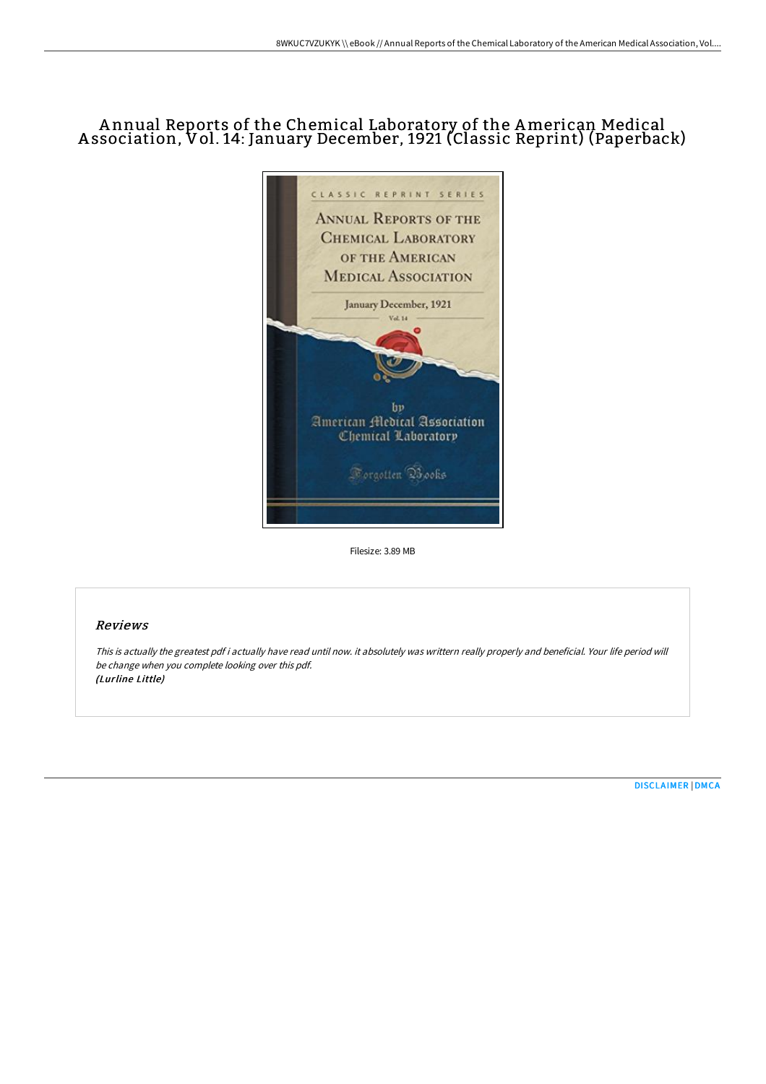# A nnual Reports of the Chemical Laboratory of the American Medical A ssociation, Vol. 14: January December, 1921 (Classic Reprint) (Paperback)



Filesize: 3.89 MB

## Reviews

This is actually the greatest pdf i actually have read until now. it absolutely was writtern really properly and beneficial. Your life period will be change when you complete looking over this pdf. (Lurline Little)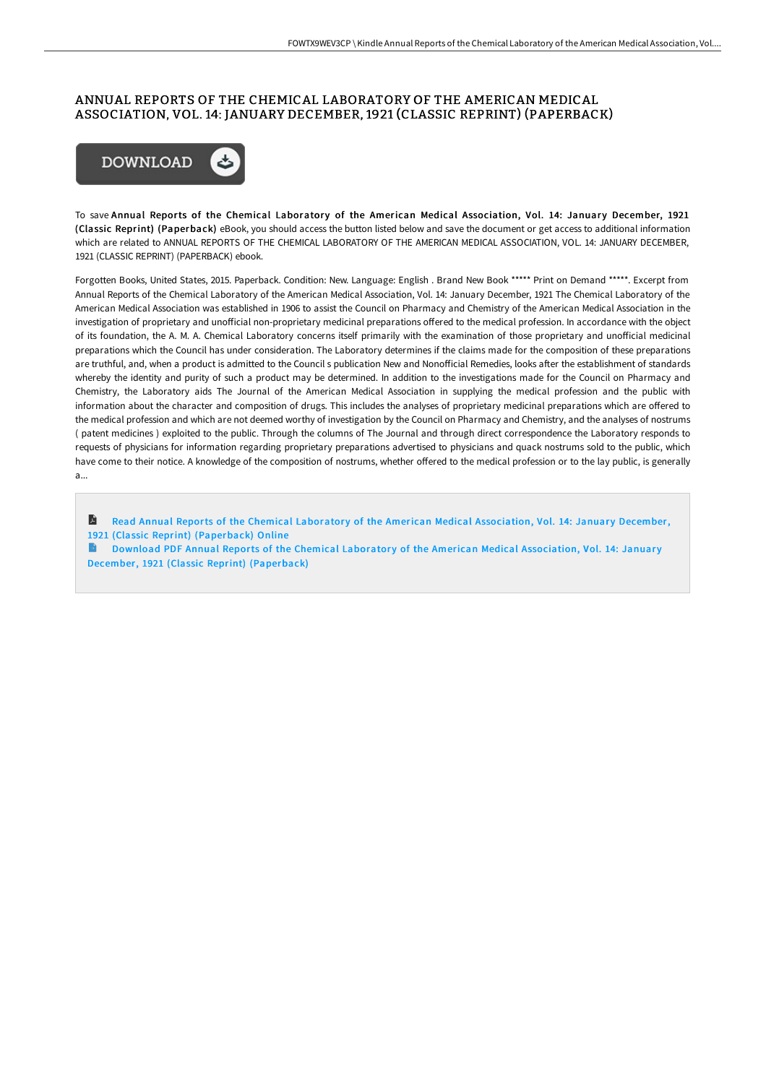### ANNUAL REPORTS OF THE CHEMICAL LABORATORY OF THE AMERICAN MEDICAL ASSOCIATION, VOL. 14: JANUARY DECEMBER, 1921 (CLASSIC REPRINT) (PAPERBACK)



To save Annual Reports of the Chemical Laboratory of the American Medical Association, Vol. 14: January December, 1921 (Classic Reprint) (Paperback) eBook, you should access the button listed below and save the document or get access to additional information which are related to ANNUAL REPORTS OF THE CHEMICAL LABORATORY OF THE AMERICAN MEDICAL ASSOCIATION, VOL. 14: JANUARY DECEMBER, 1921 (CLASSIC REPRINT) (PAPERBACK) ebook.

Forgotten Books, United States, 2015. Paperback. Condition: New. Language: English . Brand New Book \*\*\*\*\* Print on Demand \*\*\*\*\*. Excerpt from Annual Reports of the Chemical Laboratory of the American Medical Association, Vol. 14: January December, 1921 The Chemical Laboratory of the American Medical Association was established in 1906 to assist the Council on Pharmacy and Chemistry of the American Medical Association in the investigation of proprietary and unofficial non-proprietary medicinal preparations offered to the medical profession. In accordance with the object of its foundation, the A. M. A. Chemical Laboratory concerns itself primarily with the examination of those proprietary and unofficial medicinal preparations which the Council has under consideration. The Laboratory determines if the claims made for the composition of these preparations are truthful, and, when a product is admitted to the Council s publication New and Nonofficial Remedies, looks after the establishment of standards whereby the identity and purity of such a product may be determined. In addition to the investigations made for the Council on Pharmacy and Chemistry, the Laboratory aids The Journal of the American Medical Association in supplying the medical profession and the public with information about the character and composition of drugs. This includes the analyses of proprietary medicinal preparations which are offered to the medical profession and which are not deemed worthy of investigation by the Council on Pharmacy and Chemistry, and the analyses of nostrums ( patent medicines ) exploited to the public. Through the columns of The Journal and through direct correspondence the Laboratory responds to requests of physicians for information regarding proprietary preparations advertised to physicians and quack nostrums sold to the public, which have come to their notice. A knowledge of the composition of nostrums, whether offered to the medical profession or to the lay public, is generally a...

A Read Annual Reports of the Chemical Laboratory of the American Medical Association, Vol. 14: January December, 1921 (Classic Reprint) [\(Paperback\)](http://albedo.media/annual-reports-of-the-chemical-laboratory-of-the-1.html) Online

Download PDF Annual Reports of the Chemical Laboratory of the American Medical Association, Vol. 14: January December, 1921 (Classic Reprint) [\(Paperback\)](http://albedo.media/annual-reports-of-the-chemical-laboratory-of-the-1.html)